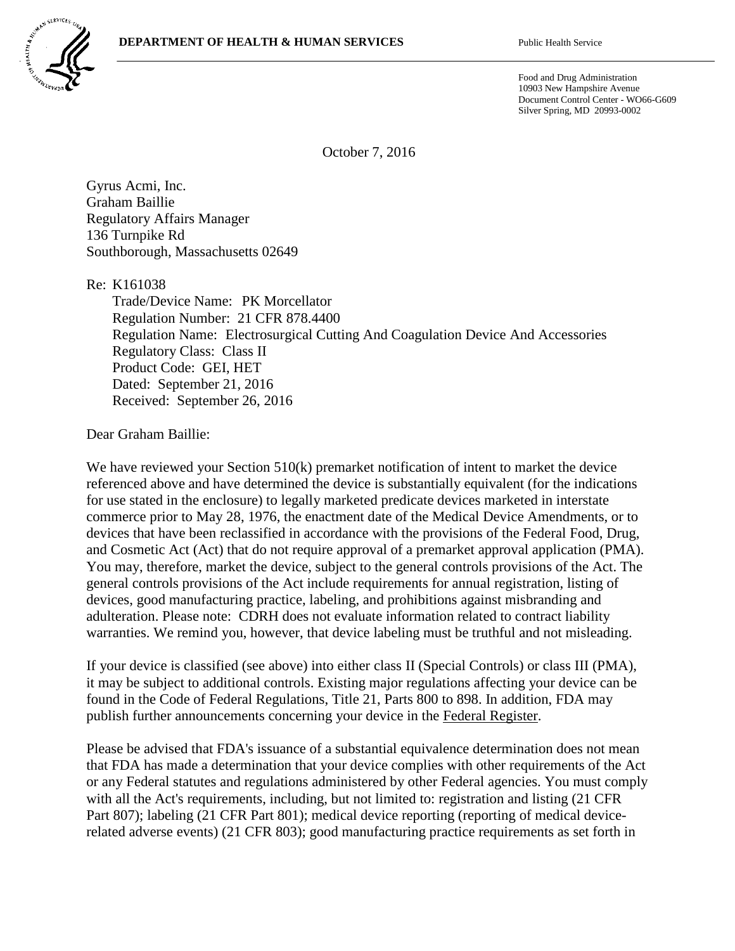

Food and Drug Administration 10903 New Hampshire Avenue Document Control Center - WO66-G609 Silver Spring, MD 20993-0002

October 7, 2016

Gyrus Acmi, Inc. Graham Baillie Regulatory Affairs Manager 136 Turnpike Rd Southborough, Massachusetts 02649

Re: K161038

Trade/Device Name: PK Morcellator Regulation Number: 21 CFR 878.4400 Regulation Name: Electrosurgical Cutting And Coagulation Device And Accessories Regulatory Class: Class II Product Code: GEI, HET Dated: September 21, 2016 Received: September 26, 2016

Dear Graham Baillie:

We have reviewed your Section 510(k) premarket notification of intent to market the device referenced above and have determined the device is substantially equivalent (for the indications for use stated in the enclosure) to legally marketed predicate devices marketed in interstate commerce prior to May 28, 1976, the enactment date of the Medical Device Amendments, or to devices that have been reclassified in accordance with the provisions of the Federal Food, Drug, and Cosmetic Act (Act) that do not require approval of a premarket approval application (PMA). You may, therefore, market the device, subject to the general controls provisions of the Act. The general controls provisions of the Act include requirements for annual registration, listing of devices, good manufacturing practice, labeling, and prohibitions against misbranding and adulteration. Please note: CDRH does not evaluate information related to contract liability warranties. We remind you, however, that device labeling must be truthful and not misleading.

If your device is classified (see above) into either class II (Special Controls) or class III (PMA), it may be subject to additional controls. Existing major regulations affecting your device can be found in the Code of Federal Regulations, Title 21, Parts 800 to 898. In addition, FDA may publish further announcements concerning your device in the Federal Register.

Please be advised that FDA's issuance of a substantial equivalence determination does not mean that FDA has made a determination that your device complies with other requirements of the Act or any Federal statutes and regulations administered by other Federal agencies. You must comply with all the Act's requirements, including, but not limited to: registration and listing (21 CFR Part 807); labeling (21 CFR Part 801); medical device reporting (reporting of medical devicerelated adverse events) (21 CFR 803); good manufacturing practice requirements as set forth in